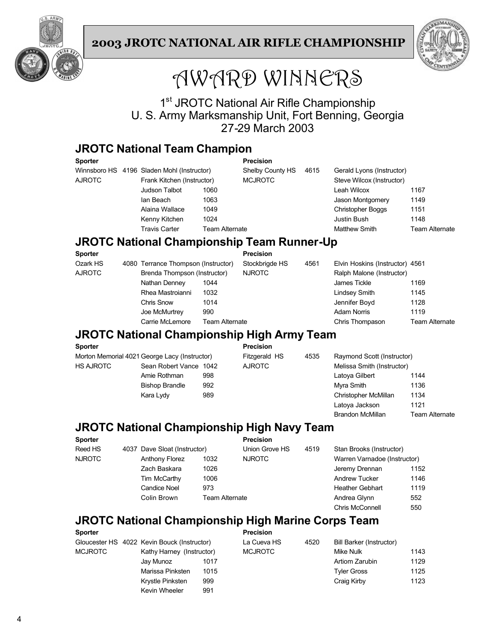



# AWARD WINNERS

1<sup>st</sup> JROTC National Air Rifle Championship U. S. Army Marksmanship Unit, Fort Benning, Georgia 27-29 March 2003

### **JROTC National Team Champion**

| <b>Sporter</b>                             |  |                            |                | <b>Precision</b>          |  |                           |                       |
|--------------------------------------------|--|----------------------------|----------------|---------------------------|--|---------------------------|-----------------------|
| Winnsboro HS 4196 Sladen Mohl (Instructor) |  | Shelby County HS           | 4615           | Gerald Lyons (Instructor) |  |                           |                       |
| <b>AJROTC</b>                              |  | Frank Kitchen (Instructor) |                | <b>MCJROTC</b>            |  | Steve Wilcox (Instructor) |                       |
|                                            |  | Judson Talbot              | 1060           |                           |  | Leah Wilcox               | 1167                  |
|                                            |  | lan Beach                  | 1063           |                           |  | Jason Montgomery          | 1149                  |
|                                            |  | Alaina Wallace             | 1049           |                           |  | <b>Christopher Boggs</b>  | 1151                  |
|                                            |  | Kenny Kitchen              | 1024           |                           |  | Justin Bush               | 1148                  |
|                                            |  | <b>Travis Carter</b>       | Team Alternate |                           |  | <b>Matthew Smith</b>      | <b>Team Alternate</b> |

### **JROTC National Championship Team Runner-Up**

|                  |      | <b>Precision</b>                                                    |                |                    |                                                              |
|------------------|------|---------------------------------------------------------------------|----------------|--------------------|--------------------------------------------------------------|
|                  |      | Stockbrigde HS                                                      | 4561           |                    |                                                              |
|                  |      | <b>NJROTC</b>                                                       |                |                    |                                                              |
| Nathan Denney    | 1044 |                                                                     |                | James Tickle       | 1169                                                         |
| Rhea Mastroianni | 1032 |                                                                     |                | Lindsey Smith      | 1145                                                         |
| Chris Snow       | 1014 |                                                                     |                | Jennifer Boyd      | 1128                                                         |
| Joe McMurtrey    | 990  |                                                                     |                | <b>Adam Norris</b> | 1119                                                         |
| Carrie McLemore  |      |                                                                     |                | Chris Thompason    | Team Alternate                                               |
|                  |      | 4080 Terrance Thompson (Instructor)<br>Brenda Thompson (Instructor) | Team Alternate |                    | Elvin Hoskins (Instructor) 4561<br>Ralph Malone (Instructor) |

### **JROTC National Championship High Army Team**

| Sporter                                       |                        |     | <b>Precision</b> |      |                            |                       |
|-----------------------------------------------|------------------------|-----|------------------|------|----------------------------|-----------------------|
| Morton Memorial 4021 George Lacy (Instructor) |                        |     | Fitzgerald HS    | 4535 | Raymond Scott (Instructor) |                       |
| HS AJROTC                                     | Sean Robert Vance 1042 |     | <b>AJROTC</b>    |      | Melissa Smith (Instructor) |                       |
|                                               | Amie Rothman           | 998 |                  |      | Latova Gilbert             | 1144                  |
|                                               | <b>Bishop Brandle</b>  | 992 |                  |      | Myra Smith                 | 1136                  |
|                                               | Kara Lydy              | 989 |                  |      | Christopher McMillan       | 1134                  |
|                                               |                        |     |                  |      | Latova Jackson             | 1121                  |
|                                               |                        |     |                  |      | <b>Brandon McMillan</b>    | <b>Team Alternate</b> |

### **JROTC National Championship High Navy Team**

| <b>Sporter</b> |                              |                       | <b>Precision</b> |      |                              |      |
|----------------|------------------------------|-----------------------|------------------|------|------------------------------|------|
| Reed HS        | 4037 Dave Sloat (Instructor) |                       | Union Grove HS   | 4519 | Stan Brooks (Instructor)     |      |
| <b>NJROTC</b>  | <b>Anthony Florez</b>        | 1032                  | <b>NJROTC</b>    |      | Warren Varnadoe (Instructor) |      |
|                | Zach Baskara                 | 1026                  |                  |      | Jeremy Drennan               | 1152 |
|                | Tim McCarthy                 | 1006                  |                  |      | <b>Andrew Tucker</b>         | 1146 |
|                | <b>Candice Noel</b>          | 973                   |                  |      | <b>Heather Gebhart</b>       | 1119 |
|                | Colin Brown                  | <b>Team Alternate</b> |                  |      | Andrea Glynn                 | 552  |
|                |                              |                       |                  |      | Chris McConnell              | 550  |

## **JROTC National Championship High Marine Corps Team**

| <b>Sporter</b> |                                             |      | <b>Precision</b> |      |                          |      |
|----------------|---------------------------------------------|------|------------------|------|--------------------------|------|
|                | Gloucester HS 4022 Kevin Bouck (Instructor) |      | La Cueva HS      | 4520 | Bill Barker (Instructor) |      |
| <b>MCJROTC</b> | Kathy Harney (Instructor)                   |      | <b>MCJROTC</b>   |      | Mike Nulk                | 1143 |
|                | Jav Munoz                                   | 1017 |                  |      | Artiom Zarubin           | 1129 |
|                | Marissa Pinksten                            | 1015 |                  |      | <b>Tyler Gross</b>       | 1125 |
|                | Krystle Pinksten                            | 999  |                  |      | Craig Kirby              | 1123 |
|                | Kevin Wheeler                               | 991  |                  |      |                          |      |